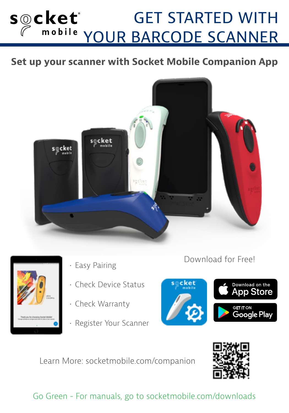# socket GET STARTED WITH **Mobile YOUR BARCODE SCANNER**

# **Set up your scanner with Socket Mobile Companion App**





- 
- Check Device Status
- Check Warranty
- Register Your Scanner





Learn More: socketmobile.com/companion



Go Green - For manuals, go to socketmobile.com/downloads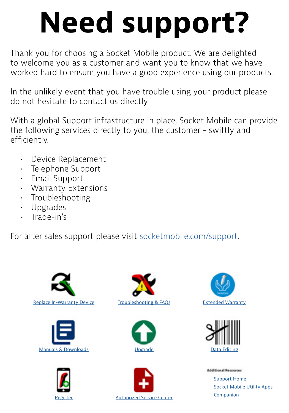# **Need support?**

Thank you for choosing a Socket Mobile product. We are delighted to welcome you as a customer and want you to know that we have worked hard to ensure you have a good experience using our products.

In the unlikely event that you have trouble using your product please do not hesitate to contact us directly.

With a global Support infrastructure in place, Socket Mobile can provide the following services directly to you, the customer - swiftly and efficiently.

- Device Replacement
- Telephone Support
- Email Support
- Warranty Extensions
- Troubleshooting
- Upgrades
- Trade-in's

For after sales support please visit [socketmobile.com/support](https://www.socketmobile.com/support).

















**Stional Resources** 

- [Support Home](https://www.socketmobile.com/support)
- [Socket Mobile Utility Apps](https://www.socketmobile.com/support/utility-apps)
- [Companion](https://www.socketmobile.com/support/companion)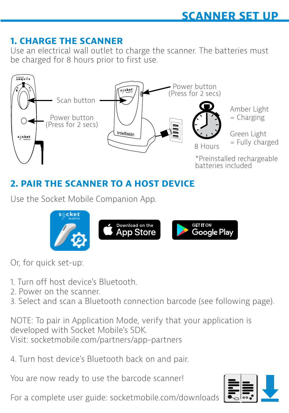## **1. CHARGE THE SCANNER**

Use an electrical wall outlet to charge the scanner. The batteries must be charged for 8 hours prior to first use.



# **2. PAIR THE SCANNER TO A HOST DEVICE**

Use the Socket Mobile Companion App.



Or, for quick set-up:

- 1. Turn off host device's Bluetooth.
- 2. Power on the scanner.
- 3. Select and scan a Bluetooth connection barcode (see following page).

NOTE: To pair in Application Mode, verify that your application is developed with Socket Mobile's SDK. Visit: socketmobile.com/partners/app-partners

4. Turn host device's Bluetooth back on and pair.

You are now ready to use the barcode scanner!

For a complete user guide: socketmobile.com/downloads

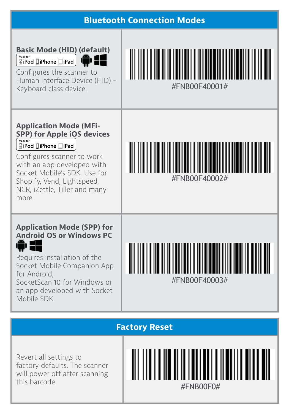| <b>Bluetooth Connection Modes</b>                                                                                                                                                                                                                                         |               |
|---------------------------------------------------------------------------------------------------------------------------------------------------------------------------------------------------------------------------------------------------------------------------|---------------|
| Basic Mode (HID) (default)<br>Made for<br>18 E.<br><b>BiPod DiPhone DiPad</b><br>Configures the scanner to<br>Human Interface Device (HID) -<br>Keyboard class device.                                                                                                    | #FNB00F40001# |
| <b>Application Mode (MFi-</b><br>SPP) for Apple iOS devices<br>Made for<br><b>BiPod DiPhone DiPad</b><br>Configures scanner to work<br>with an app developed with<br>Socket Mobile's SDK. Use for<br>Shopify, Vend, Lightspeed,<br>NCR, iZettle, Tiller and many<br>more. | #FNB00F40002# |
| <b>Application Mode (SPP) for</b><br><b>Android OS or Windows PC</b><br>Requires installation of the<br>Socket Mobile Companion App<br>for Android,<br>SocketScan 10 for Windows or<br>an app developed with Socket<br>Mobile SDK.                                        | #FNB00F40003# |

# **Factory Reset**

Revert all settings to factory defaults. The scanner will power off after scanning